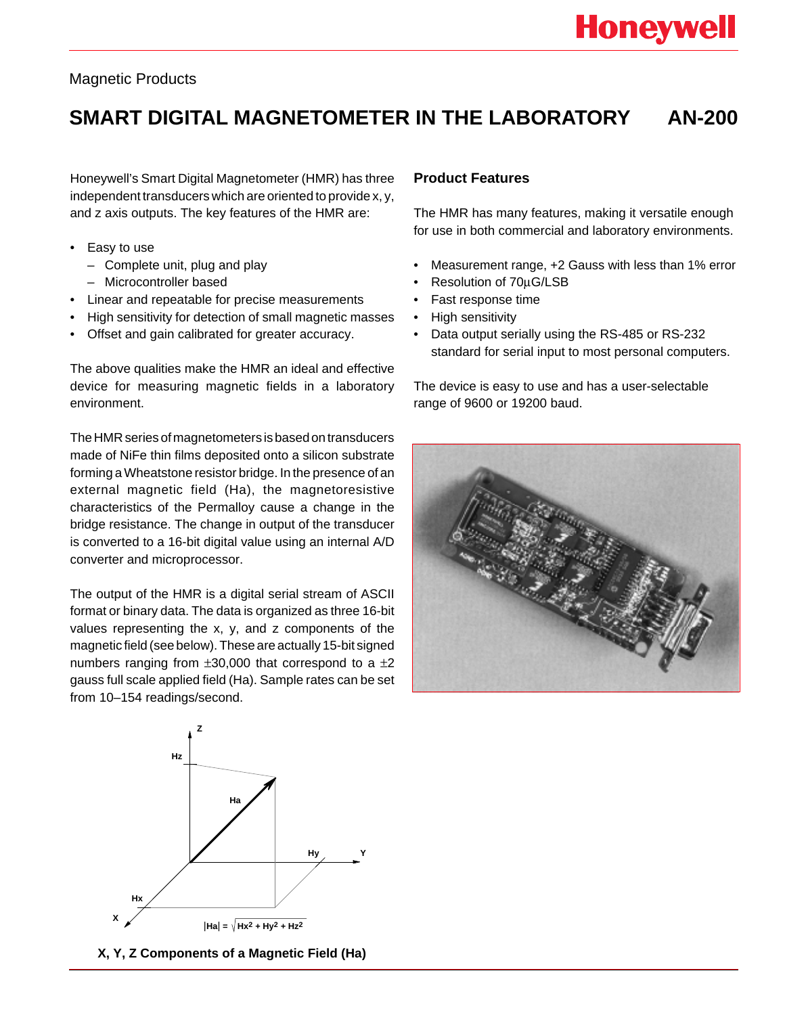## Magnetic Products

# **SMART DIGITAL MAGNETOMETER IN THE LABORATORY AN-200**

Honeywell's Smart Digital Magnetometer (HMR) has three independent transducers which are oriented to provide x, y, and z axis outputs. The key features of the HMR are:

- Easy to use
	- Complete unit, plug and play
	- Microcontroller based
- Linear and repeatable for precise measurements
- High sensitivity for detection of small magnetic masses
- Offset and gain calibrated for greater accuracy.

The above qualities make the HMR an ideal and effective device for measuring magnetic fields in a laboratory environment.

The HMR series of magnetometers is based on transducers made of NiFe thin films deposited onto a silicon substrate forming a Wheatstone resistor bridge. In the presence of an external magnetic field (Ha), the magnetoresistive characteristics of the Permalloy cause a change in the bridge resistance. The change in output of the transducer is converted to a 16-bit digital value using an internal A/D converter and microprocessor.

The output of the HMR is a digital serial stream of ASCII format or binary data. The data is organized as three 16-bit values representing the x, y, and z components of the magnetic field (see below). These are actually 15-bit signed numbers ranging from  $\pm 30,000$  that correspond to a  $\pm 2$ gauss full scale applied field (Ha). Sample rates can be set from 10–154 readings/second.

# **X Y Z Hx Hz Hy Ha**  $|Ha| = \sqrt{Hx^2 + Hy^2 + Hz^2}$

#### **X, Y, Z Components of a Magnetic Field (Ha)**

### **Product Features**

The HMR has many features, making it versatile enough for use in both commercial and laboratory environments.

- Measurement range, +2 Gauss with less than 1% error
- Resolution of 70µG/LSB
- Fast response time
- High sensitivity
- Data output serially using the RS-485 or RS-232 standard for serial input to most personal computers.

The device is easy to use and has a user-selectable range of 9600 or 19200 baud.